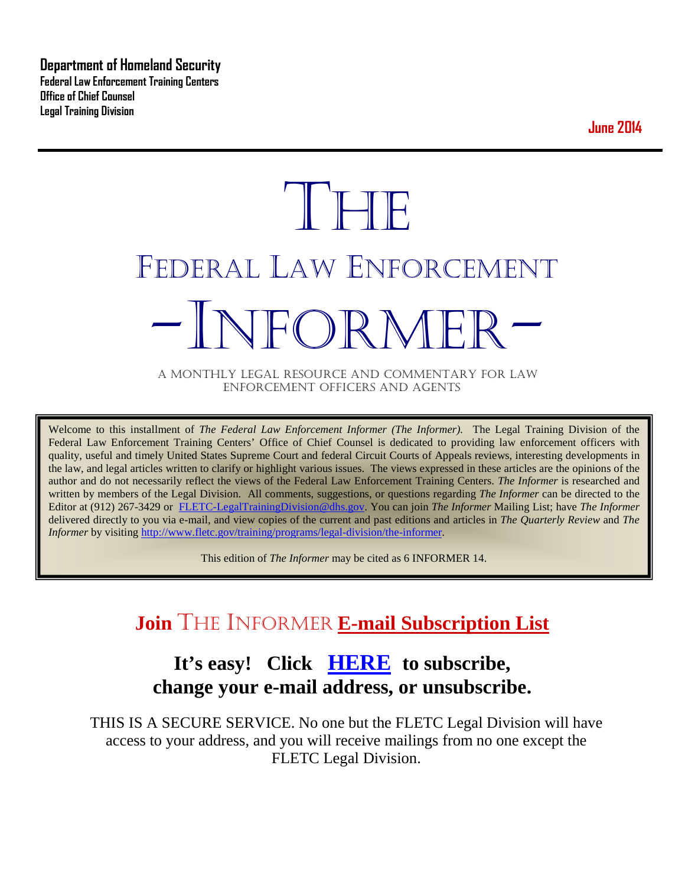**Department of Homeland Security Federal Law Enforcement Training Centers Office of Chief Counsel Legal Training Division** 

**June 2014**

# **THE** FEDERAL LAW ENFORCEMENT -INFORMER- A MONTHLY LEGAL RESOURCE AND COMMENTARY FOR LAW

ENFORCEMENT OFFICERS AND AGENTS

Welcome to this installment of *The Federal Law Enforcement Informer (The Informer).* The Legal Training Division of the Federal Law Enforcement Training Centers' Office of Chief Counsel is dedicated to providing law enforcement officers with quality, useful and timely United States Supreme Court and federal Circuit Courts of Appeals reviews, interesting developments in the law, and legal articles written to clarify or highlight various issues. The views expressed in these articles are the opinions of the author and do not necessarily reflect the views of the Federal Law Enforcement Training Centers. *The Informer* is researched and written by members of the Legal Division. All comments, suggestions, or questions regarding *The Informer* can be directed to the Editor at (912) 267-3429 or [FLETC-LegalTrainingDivision@dhs.gov.](mailto:FLETC-LegalTrainingDivision@dhs.gov) You can join *The Informer* Mailing List; have *The Informer* delivered directly to you via e-mail, and view copies of the current and past editions and articles in *The Quarterly Review* and *The Informer* by visiting [http://www.fletc.gov/training/programs/legal-division/the-informer.](http://www.fletc.gov/training/programs/legal-division/the-informer)

This edition of *The Informer* may be cited as 6 INFORMER 14.

# **Join** THE INFORMER **E-mail Subscription List**

### **It's easy! Click [HERE](http://peach.ease.lsoft.com/scripts/wa.exe?SUBED1=fletclgd&A=1) to subscribe, change your e-mail address, or unsubscribe.**

THIS IS A SECURE SERVICE. No one but the FLETC Legal Division will have access to your address, and you will receive mailings from no one except the FLETC Legal Division.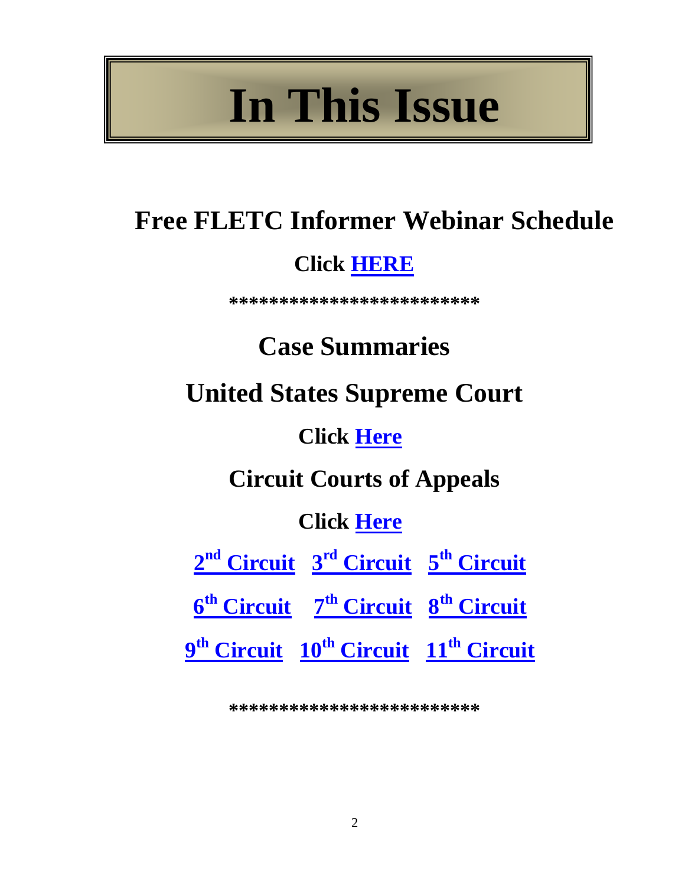# **In This Issue**

# **Free FLETC Informer Webinar Schedule**

# **Click [HERE](#page-2-0)**

**\*\*\*\*\*\*\*\*\*\*\*\*\*\*\*\*\*\*\*\*\*\*\*\*\***

# **Case Summaries**

**United States Supreme Court**

# **Click [Here](#page-4-0)**

**Circuit Courts of Appeals**

# **Click [Here](#page-8-0)**

|                                                                                | $2nd$ Circuit $3rd$ Circuit $5th$ Circuit |                                                                           |
|--------------------------------------------------------------------------------|-------------------------------------------|---------------------------------------------------------------------------|
| 6 <sup>th</sup> Circuit 7 <sup>th</sup> C <u>ircuit 8<sup>th</sup> Circuit</u> |                                           |                                                                           |
|                                                                                |                                           | 9 <sup>th</sup> Circuit 10 <sup>th</sup> Circuit 11 <sup>th</sup> Circuit |

**\*\*\*\*\*\*\*\*\*\*\*\*\*\*\*\*\*\*\*\*\*\*\*\*\***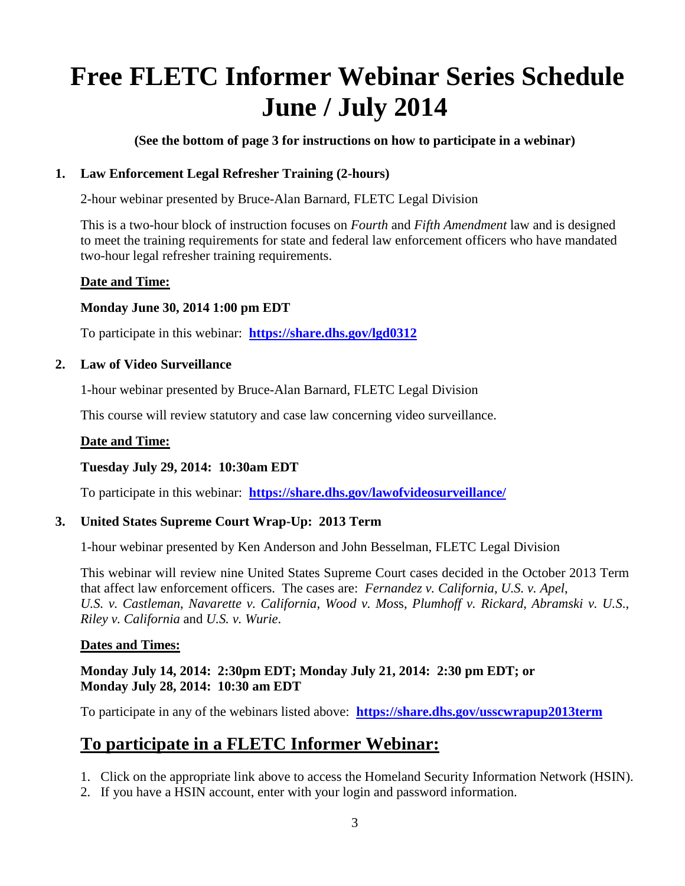# <span id="page-2-0"></span>**Free FLETC Informer Webinar Series Schedule June / July 2014**

**(See the bottom of page 3 for instructions on how to participate in a webinar)**

### **1. Law Enforcement Legal Refresher Training (2-hours)**

2-hour webinar presented by Bruce-Alan Barnard, FLETC Legal Division

This is a two-hour block of instruction focuses on *Fourth* and *Fifth Amendment* law and is designed to meet the training requirements for state and federal law enforcement officers who have mandated two-hour legal refresher training requirements.

### **Date and Time:**

### **Monday June 30, 2014 1:00 pm EDT**

To participate in this webinar: **<https://share.dhs.gov/lgd0312>**

### **2. Law of Video Surveillance**

1-hour webinar presented by Bruce-Alan Barnard, FLETC Legal Division

This course will review statutory and case law concerning video surveillance.

### **Date and Time:**

### **Tuesday July 29, 2014: 10:30am EDT**

To participate in this webinar: **<https://share.dhs.gov/lawofvideosurveillance/>**

### **3. United States Supreme Court Wrap-Up: 2013 Term**

1-hour webinar presented by Ken Anderson and John Besselman, FLETC Legal Division

This webinar will review nine United States Supreme Court cases decided in the October 2013 Term that affect law enforcement officers. The cases are: *Fernandez v. California*, *U.S. v. Apel*, *U.S. v. Castleman*, *Navarette v. California*, *Wood v. Mos*s, *Plumhoff v. Rickard*, *Abramski v. U.S*., *Riley v. California* and *U.S. v. Wurie*.

#### **Dates and Times:**

### **Monday July 14, 2014: 2:30pm EDT; Monday July 21, 2014: 2:30 pm EDT; or Monday July 28, 2014: 10:30 am EDT**

To participate in any of the webinars listed above: **<https://share.dhs.gov/usscwrapup2013term>**

### **To participate in a FLETC Informer Webinar:**

- 1. Click on the appropriate link above to access the Homeland Security Information Network (HSIN).
- 2. If you have a HSIN account, enter with your login and password information.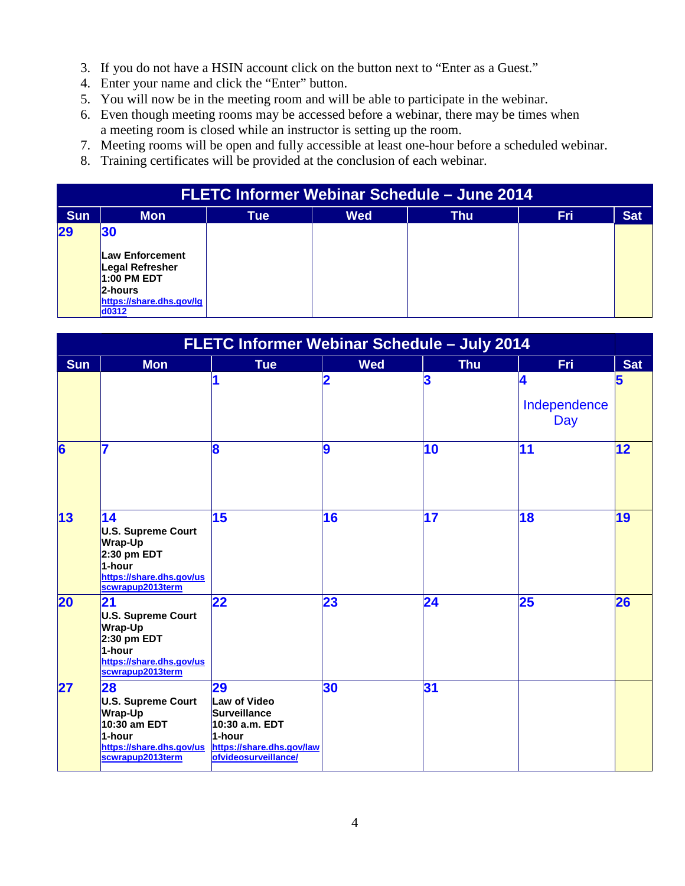- 3. If you do not have a HSIN account click on the button next to "Enter as a Guest."
- 4. Enter your name and click the "Enter" button.
- 5. You will now be in the meeting room and will be able to participate in the webinar.
- 6. Even though meeting rooms may be accessed before a webinar, there may be times when a meeting room is closed while an instructor is setting up the room.
- 7. Meeting rooms will be open and fully accessible at least one-hour before a scheduled webinar.
- 8. Training certificates will be provided at the conclusion of each webinar.

| FLETC Informer Webinar Schedule - June 2014 |                                                                                                       |            |            |            |            |            |  |  |
|---------------------------------------------|-------------------------------------------------------------------------------------------------------|------------|------------|------------|------------|------------|--|--|
| <b>Sun</b>                                  | <b>Mon</b>                                                                                            | <b>Tue</b> | <b>Wed</b> | <b>Thu</b> | <b>Fri</b> | <b>Sat</b> |  |  |
| 29                                          | 30<br><b>Law Enforcement</b><br>Legal Refresher<br>1:00 PM EDT<br>2-hours<br>https://share.dhs.gov/lg |            |            |            |            |            |  |  |
|                                             | d0312                                                                                                 |            |            |            |            |            |  |  |

| FLETC Informer Webinar Schedule - July 2014 |                                                                                                                              |                                                                                                                            |                |                          |                          |            |
|---------------------------------------------|------------------------------------------------------------------------------------------------------------------------------|----------------------------------------------------------------------------------------------------------------------------|----------------|--------------------------|--------------------------|------------|
| <b>Sun</b>                                  | <b>Mon</b>                                                                                                                   | <b>Tue</b>                                                                                                                 | <b>Wed</b>     | <b>Thu</b>               | <b>Fri</b>               | <b>Sat</b> |
|                                             |                                                                                                                              | 1                                                                                                                          | $\overline{2}$ | $\overline{\mathbf{3}}$  | 4<br>Independence<br>Day | 5          |
| 6                                           |                                                                                                                              | $\bf{8}$                                                                                                                   | 9              | $\overline{10}$          | 11                       | 12         |
| 13                                          | 14<br><b>U.S. Supreme Court</b><br><b>Wrap-Up</b><br>$2:30$ pm EDT<br>1-hour<br>https://share.dhs.gov/us<br>scwrapup2013term | 15                                                                                                                         | 16             | $\overline{\mathbf{17}}$ | 18                       | 19         |
| 20                                          | 21<br><b>U.S. Supreme Court</b><br><b>Wrap-Up</b><br>$2:30$ pm EDT<br>1-hour<br>https://share.dhs.gov/us<br>scwrapup2013term | 22                                                                                                                         | 23             | 24                       | 25                       | 26         |
| 27                                          | 28<br><b>U.S. Supreme Court</b><br><b>Wrap-Up</b><br>10:30 am EDT<br>1-hour<br>https://share.dhs.gov/us<br>scwrapup2013term  | 29<br>Law of Video<br><b>Surveillance</b><br>10:30 a.m. EDT<br>1-hour<br>https://share.dhs.gov/law<br>ofvideosurveillance/ | 30             | 31                       |                          |            |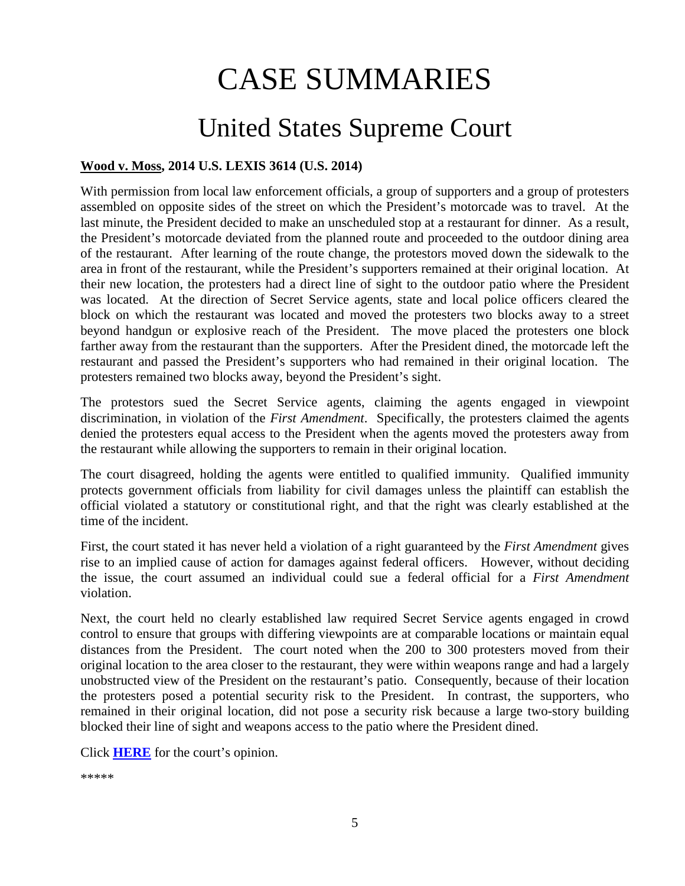# CASE SUMMARIES

# United States Supreme Court

### <span id="page-4-0"></span>**Wood v. Moss, 2014 U.S. LEXIS 3614 (U.S. 2014)**

With permission from local law enforcement officials, a group of supporters and a group of protesters assembled on opposite sides of the street on which the President's motorcade was to travel. At the last minute, the President decided to make an unscheduled stop at a restaurant for dinner. As a result, the President's motorcade deviated from the planned route and proceeded to the outdoor dining area of the restaurant. After learning of the route change, the protestors moved down the sidewalk to the area in front of the restaurant, while the President's supporters remained at their original location. At their new location, the protesters had a direct line of sight to the outdoor patio where the President was located. At the direction of Secret Service agents, state and local police officers cleared the block on which the restaurant was located and moved the protesters two blocks away to a street beyond handgun or explosive reach of the President. The move placed the protesters one block farther away from the restaurant than the supporters. After the President dined, the motorcade left the restaurant and passed the President's supporters who had remained in their original location. The protesters remained two blocks away, beyond the President's sight.

The protestors sued the Secret Service agents, claiming the agents engaged in viewpoint discrimination, in violation of the *First Amendment*. Specifically, the protesters claimed the agents denied the protesters equal access to the President when the agents moved the protesters away from the restaurant while allowing the supporters to remain in their original location.

The court disagreed, holding the agents were entitled to qualified immunity. Qualified immunity protects government officials from liability for civil damages unless the plaintiff can establish the official violated a statutory or constitutional right, and that the right was clearly established at the time of the incident.

First, the court stated it has never held a violation of a right guaranteed by the *First Amendment* gives rise to an implied cause of action for damages against federal officers. However, without deciding the issue, the court assumed an individual could sue a federal official for a *First Amendment* violation.

Next, the court held no clearly established law required Secret Service agents engaged in crowd control to ensure that groups with differing viewpoints are at comparable locations or maintain equal distances from the President. The court noted when the 200 to 300 protesters moved from their original location to the area closer to the restaurant, they were within weapons range and had a largely unobstructed view of the President on the restaurant's patio. Consequently, because of their location the protesters posed a potential security risk to the President. In contrast, the supporters, who remained in their original location, did not pose a security risk because a large two-story building blocked their line of sight and weapons access to the patio where the President dined.

Click **[HERE](http://www.supremecourt.gov/opinions/13pdf/13-115_gdil.pdf)** for the court's opinion.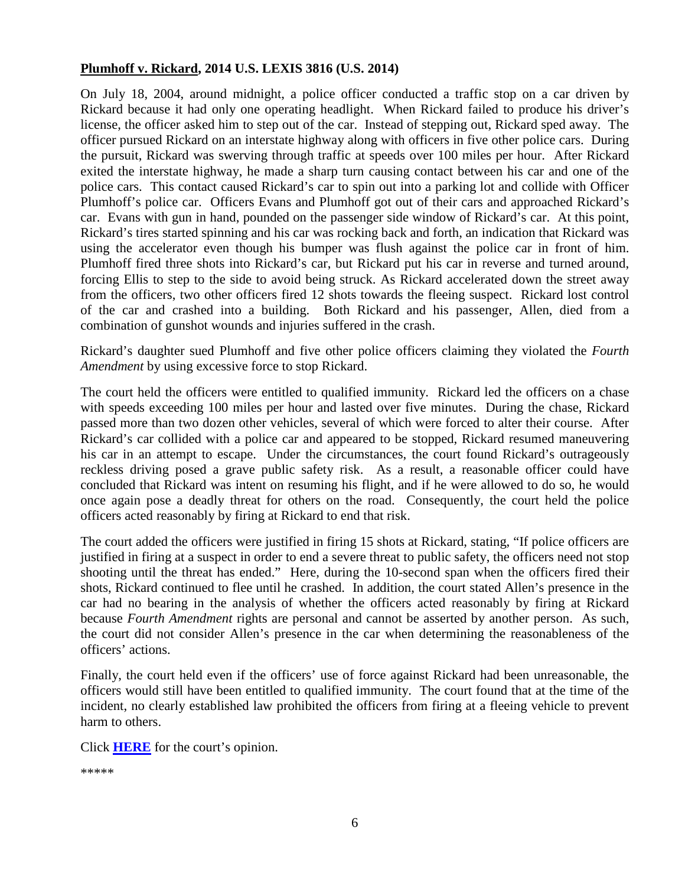#### **Plumhoff v. Rickard, 2014 U.S. LEXIS 3816 (U.S. 2014)**

On July 18, 2004, around midnight, a police officer conducted a traffic stop on a car driven by Rickard because it had only one operating headlight. When Rickard failed to produce his driver's license, the officer asked him to step out of the car. Instead of stepping out, Rickard sped away. The officer pursued Rickard on an interstate highway along with officers in five other police cars. During the pursuit, Rickard was swerving through traffic at speeds over 100 miles per hour. After Rickard exited the interstate highway, he made a sharp turn causing contact between his car and one of the police cars. This contact caused Rickard's car to spin out into a parking lot and collide with Officer Plumhoff's police car. Officers Evans and Plumhoff got out of their cars and approached Rickard's car. Evans with gun in hand, pounded on the passenger side window of Rickard's car. At this point, Rickard's tires started spinning and his car was rocking back and forth, an indication that Rickard was using the accelerator even though his bumper was flush against the police car in front of him. Plumhoff fired three shots into Rickard's car, but Rickard put his car in reverse and turned around, forcing Ellis to step to the side to avoid being struck. As Rickard accelerated down the street away from the officers, two other officers fired 12 shots towards the fleeing suspect. Rickard lost control of the car and crashed into a building. Both Rickard and his passenger, Allen, died from a combination of gunshot wounds and injuries suffered in the crash.

Rickard's daughter sued Plumhoff and five other police officers claiming they violated the *Fourth Amendment* by using excessive force to stop Rickard.

The court held the officers were entitled to qualified immunity. Rickard led the officers on a chase with speeds exceeding 100 miles per hour and lasted over five minutes. During the chase, Rickard passed more than two dozen other vehicles, several of which were forced to alter their course. After Rickard's car collided with a police car and appeared to be stopped, Rickard resumed maneuvering his car in an attempt to escape. Under the circumstances, the court found Rickard's outrageously reckless driving posed a grave public safety risk. As a result, a reasonable officer could have concluded that Rickard was intent on resuming his flight, and if he were allowed to do so, he would once again pose a deadly threat for others on the road. Consequently, the court held the police officers acted reasonably by firing at Rickard to end that risk.

The court added the officers were justified in firing 15 shots at Rickard, stating, "If police officers are justified in firing at a suspect in order to end a severe threat to public safety, the officers need not stop shooting until the threat has ended." Here, during the 10-second span when the officers fired their shots, Rickard continued to flee until he crashed. In addition, the court stated Allen's presence in the car had no bearing in the analysis of whether the officers acted reasonably by firing at Rickard because *Fourth Amendment* rights are personal and cannot be asserted by another person. As such, the court did not consider Allen's presence in the car when determining the reasonableness of the officers' actions.

Finally, the court held even if the officers' use of force against Rickard had been unreasonable, the officers would still have been entitled to qualified immunity. The court found that at the time of the incident, no clearly established law prohibited the officers from firing at a fleeing vehicle to prevent harm to others.

Click **[HERE](http://www.supremecourt.gov/opinions/13pdf/12-1117_1bn5.pdf)** for the court's opinion.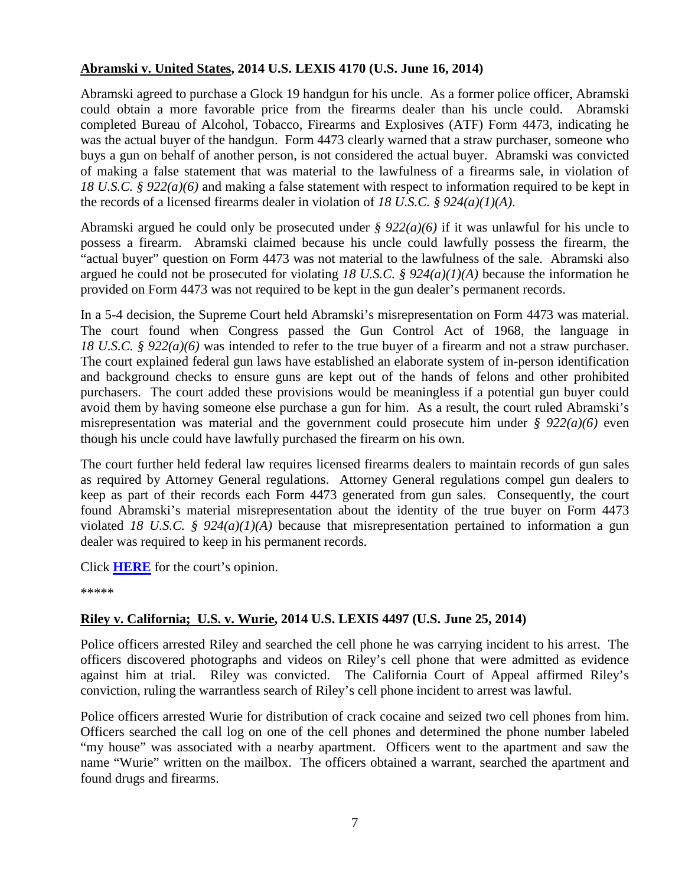### **Abramski v. United States, 2014 U.S. LEXIS 4170 (U.S. June 16, 2014)**

Abramski agreed to purchase a Glock 19 handgun for his uncle. As a former police officer, Abramski could obtain a more favorable price from the firearms dealer than his uncle could. Abramski completed Bureau of Alcohol, Tobacco, Firearms and Explosives (ATF) Form 4473, indicating he was the actual buyer of the handgun. Form 4473 clearly warned that a straw purchaser, someone who buys a gun on behalf of another person, is not considered the actual buyer. Abramski was convicted of making a false statement that was material to the lawfulness of a firearms sale, in violation of *18 U.S.C. § 922(a)(6)* and making a false statement with respect to information required to be kept in the records of a licensed firearms dealer in violation of *18 U.S.C. § 924(a)(1)(A)*.

Abramski argued he could only be prosecuted under *§ 922(a)(6)* if it was unlawful for his uncle to possess a firearm. Abramski claimed because his uncle could lawfully possess the firearm, the "actual buyer" question on Form 4473 was not material to the lawfulness of the sale. Abramski also argued he could not be prosecuted for violating *18 U.S.C. § 924(a)(1)(A)* because the information he provided on Form 4473 was not required to be kept in the gun dealer's permanent records.

In a 5-4 decision, the Supreme Court held Abramski's misrepresentation on Form 4473 was material. The court found when Congress passed the Gun Control Act of 1968, the language in *18 U.S.C.* § 922(*a*)(6) was intended to refer to the true buyer of a firearm and not a straw purchaser. The court explained federal gun laws have established an elaborate system of in-person identification and background checks to ensure guns are kept out of the hands of felons and other prohibited purchasers. The court added these provisions would be meaningless if a potential gun buyer could avoid them by having someone else purchase a gun for him. As a result, the court ruled Abramski's misrepresentation was material and the government could prosecute him under *§ 922(a)(6)* even though his uncle could have lawfully purchased the firearm on his own.

The court further held federal law requires licensed firearms dealers to maintain records of gun sales as required by Attorney General regulations. Attorney General regulations compel gun dealers to keep as part of their records each Form 4473 generated from gun sales. Consequently, the court found Abramski's material misrepresentation about the identity of the true buyer on Form 4473 violated *18 U.S.C. § 924(a)(1)(A)* because that misrepresentation pertained to information a gun dealer was required to keep in his permanent records.

Click **[HERE](http://www.supremecourt.gov/opinions/13pdf/12-1493_k5g1.pdf)** for the court's opinion.

\*\*\*\*\*

### **Riley v. California; U.S. v. Wurie, 2014 U.S. LEXIS 4497 (U.S. June 25, 2014)**

Police officers arrested Riley and searched the cell phone he was carrying incident to his arrest. The officers discovered photographs and videos on Riley's cell phone that were admitted as evidence against him at trial. Riley was convicted. The California Court of Appeal affirmed Riley's conviction, ruling the warrantless search of Riley's cell phone incident to arrest was lawful.

Police officers arrested Wurie for distribution of crack cocaine and seized two cell phones from him. Officers searched the call log on one of the cell phones and determined the phone number labeled "my house" was associated with a nearby apartment. Officers went to the apartment and saw the name "Wurie" written on the mailbox. The officers obtained a warrant, searched the apartment and found drugs and firearms.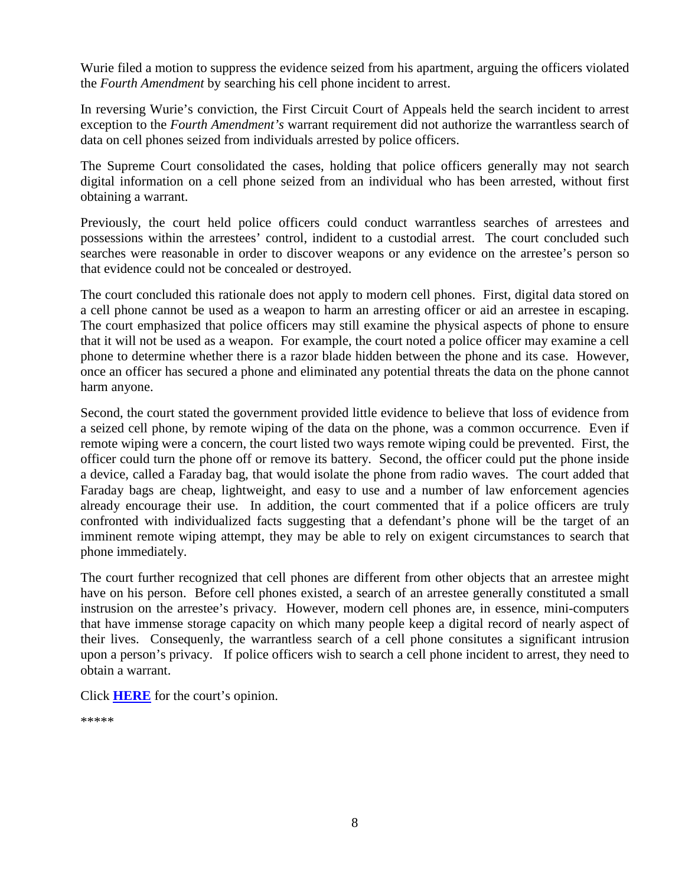Wurie filed a motion to suppress the evidence seized from his apartment, arguing the officers violated the *Fourth Amendment* by searching his cell phone incident to arrest.

In reversing Wurie's conviction, the First Circuit Court of Appeals held the search incident to arrest exception to the *Fourth Amendment's* warrant requirement did not authorize the warrantless search of data on cell phones seized from individuals arrested by police officers.

The Supreme Court consolidated the cases, holding that police officers generally may not search digital information on a cell phone seized from an individual who has been arrested, without first obtaining a warrant.

Previously, the court held police officers could conduct warrantless searches of arrestees and possessions within the arrestees' control, indident to a custodial arrest. The court concluded such searches were reasonable in order to discover weapons or any evidence on the arrestee's person so that evidence could not be concealed or destroyed.

The court concluded this rationale does not apply to modern cell phones. First, digital data stored on a cell phone cannot be used as a weapon to harm an arresting officer or aid an arrestee in escaping. The court emphasized that police officers may still examine the physical aspects of phone to ensure that it will not be used as a weapon. For example, the court noted a police officer may examine a cell phone to determine whether there is a razor blade hidden between the phone and its case. However, once an officer has secured a phone and eliminated any potential threats the data on the phone cannot harm anyone.

Second, the court stated the government provided little evidence to believe that loss of evidence from a seized cell phone, by remote wiping of the data on the phone, was a common occurrence. Even if remote wiping were a concern, the court listed two ways remote wiping could be prevented. First, the officer could turn the phone off or remove its battery. Second, the officer could put the phone inside a device, called a Faraday bag, that would isolate the phone from radio waves. The court added that Faraday bags are cheap, lightweight, and easy to use and a number of law enforcement agencies already encourage their use. In addition, the court commented that if a police officers are truly confronted with individualized facts suggesting that a defendant's phone will be the target of an imminent remote wiping attempt, they may be able to rely on exigent circumstances to search that phone immediately.

The court further recognized that cell phones are different from other objects that an arrestee might have on his person. Before cell phones existed, a search of an arrestee generally constituted a small instrusion on the arrestee's privacy. However, modern cell phones are, in essence, mini-computers that have immense storage capacity on which many people keep a digital record of nearly aspect of their lives. Consequenly, the warrantless search of a cell phone consitutes a significant intrusion upon a person's privacy. If police officers wish to search a cell phone incident to arrest, they need to obtain a warrant.

Click **[HERE](http://www.supremecourt.gov/opinions/13pdf/13-132_8l9c.pdf)** for the court's opinion.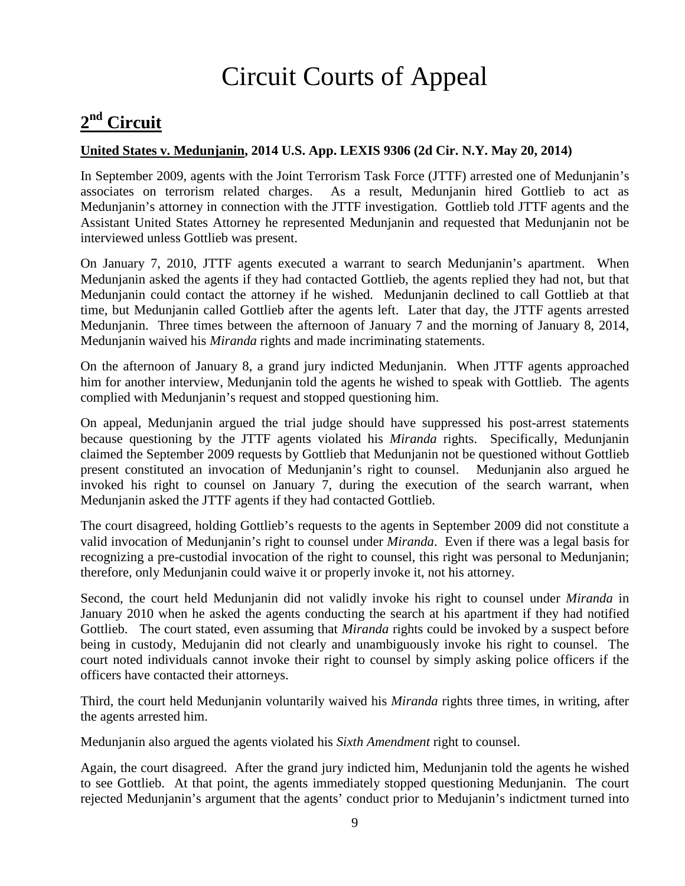# Circuit Courts of Appeal

### <span id="page-8-1"></span><span id="page-8-0"></span>**2nd Circuit**

### **United States v. Medunjanin, 2014 U.S. App. LEXIS 9306 (2d Cir. N.Y. May 20, 2014)**

In September 2009, agents with the Joint Terrorism Task Force (JTTF) arrested one of Medunjanin's associates on terrorism related charges. As a result, Medunjanin hired Gottlieb to act as Medunjanin's attorney in connection with the JTTF investigation. Gottlieb told JTTF agents and the Assistant United States Attorney he represented Medunjanin and requested that Medunjanin not be interviewed unless Gottlieb was present.

On January 7, 2010, JTTF agents executed a warrant to search Medunjanin's apartment. When Medunjanin asked the agents if they had contacted Gottlieb, the agents replied they had not, but that Medunjanin could contact the attorney if he wished. Medunjanin declined to call Gottlieb at that time, but Medunjanin called Gottlieb after the agents left. Later that day, the JTTF agents arrested Medunjanin. Three times between the afternoon of January 7 and the morning of January 8, 2014, Medunjanin waived his *Miranda* rights and made incriminating statements.

On the afternoon of January 8, a grand jury indicted Medunjanin. When JTTF agents approached him for another interview, Medunjanin told the agents he wished to speak with Gottlieb. The agents complied with Medunjanin's request and stopped questioning him.

On appeal, Medunjanin argued the trial judge should have suppressed his post-arrest statements because questioning by the JTTF agents violated his *Miranda* rights. Specifically, Medunjanin claimed the September 2009 requests by Gottlieb that Medunjanin not be questioned without Gottlieb present constituted an invocation of Medunjanin's right to counsel. Medunjanin also argued he invoked his right to counsel on January 7, during the execution of the search warrant, when Medunjanin asked the JTTF agents if they had contacted Gottlieb.

The court disagreed, holding Gottlieb's requests to the agents in September 2009 did not constitute a valid invocation of Medunjanin's right to counsel under *Miranda*. Even if there was a legal basis for recognizing a pre-custodial invocation of the right to counsel, this right was personal to Medunjanin; therefore, only Medunjanin could waive it or properly invoke it, not his attorney.

Second, the court held Medunjanin did not validly invoke his right to counsel under *Miranda* in January 2010 when he asked the agents conducting the search at his apartment if they had notified Gottlieb. The court stated, even assuming that *Miranda* rights could be invoked by a suspect before being in custody, Medujanin did not clearly and unambiguously invoke his right to counsel. The court noted individuals cannot invoke their right to counsel by simply asking police officers if the officers have contacted their attorneys.

Third, the court held Medunjanin voluntarily waived his *Miranda* rights three times, in writing, after the agents arrested him.

Medunjanin also argued the agents violated his *Sixth Amendment* right to counsel.

Again, the court disagreed. After the grand jury indicted him, Medunjanin told the agents he wished to see Gottlieb. At that point, the agents immediately stopped questioning Medunjanin. The court rejected Medunjanin's argument that the agents' conduct prior to Medujanin's indictment turned into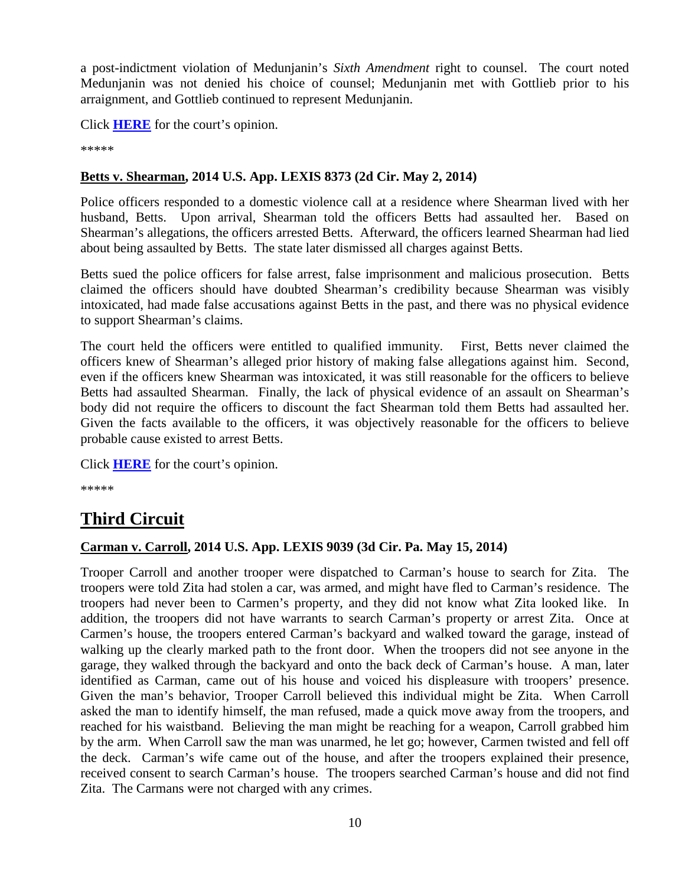a post-indictment violation of Medunjanin's *Sixth Amendment* right to counsel. The court noted Medunjanin was not denied his choice of counsel; Medunjanin met with Gottlieb prior to his arraignment, and Gottlieb continued to represent Medunjanin.

Click **[HERE](http://docs.justia.com/cases/federal/appellate-courts/ca2/12-4724/12-4724-2014-05-20.pdf)** for the court's opinion.

\*\*\*\*\*

### **Betts v. Shearman, 2014 U.S. App. LEXIS 8373 (2d Cir. May 2, 2014)**

Police officers responded to a domestic violence call at a residence where Shearman lived with her husband, Betts. Upon arrival, Shearman told the officers Betts had assaulted her. Based on Shearman's allegations, the officers arrested Betts. Afterward, the officers learned Shearman had lied about being assaulted by Betts. The state later dismissed all charges against Betts.

Betts sued the police officers for false arrest, false imprisonment and malicious prosecution. Betts claimed the officers should have doubted Shearman's credibility because Shearman was visibly intoxicated, had made false accusations against Betts in the past, and there was no physical evidence to support Shearman's claims.

The court held the officers were entitled to qualified immunity. First, Betts never claimed the officers knew of Shearman's alleged prior history of making false allegations against him. Second, even if the officers knew Shearman was intoxicated, it was still reasonable for the officers to believe Betts had assaulted Shearman. Finally, the lack of physical evidence of an assault on Shearman's body did not require the officers to discount the fact Shearman told them Betts had assaulted her. Given the facts available to the officers, it was objectively reasonable for the officers to believe probable cause existed to arrest Betts.

Click **[HERE](http://docs.justia.com/cases/federal/appellate-courts/ca2/13-619/13-619-2014-05-02.pdf)** for the court's opinion.

\*\*\*\*\*

### <span id="page-9-0"></span>**Third Circuit**

#### **Carman v. Carroll, 2014 U.S. App. LEXIS 9039 (3d Cir. Pa. May 15, 2014)**

Trooper Carroll and another trooper were dispatched to Carman's house to search for Zita. The troopers were told Zita had stolen a car, was armed, and might have fled to Carman's residence. The troopers had never been to Carmen's property, and they did not know what Zita looked like. In addition, the troopers did not have warrants to search Carman's property or arrest Zita. Once at Carmen's house, the troopers entered Carman's backyard and walked toward the garage, instead of walking up the clearly marked path to the front door. When the troopers did not see anyone in the garage, they walked through the backyard and onto the back deck of Carman's house. A man, later identified as Carman, came out of his house and voiced his displeasure with troopers' presence. Given the man's behavior, Trooper Carroll believed this individual might be Zita. When Carroll asked the man to identify himself, the man refused, made a quick move away from the troopers, and reached for his waistband. Believing the man might be reaching for a weapon, Carroll grabbed him by the arm. When Carroll saw the man was unarmed, he let go; however, Carmen twisted and fell off the deck. Carman's wife came out of the house, and after the troopers explained their presence, received consent to search Carman's house. The troopers searched Carman's house and did not find Zita. The Carmans were not charged with any crimes.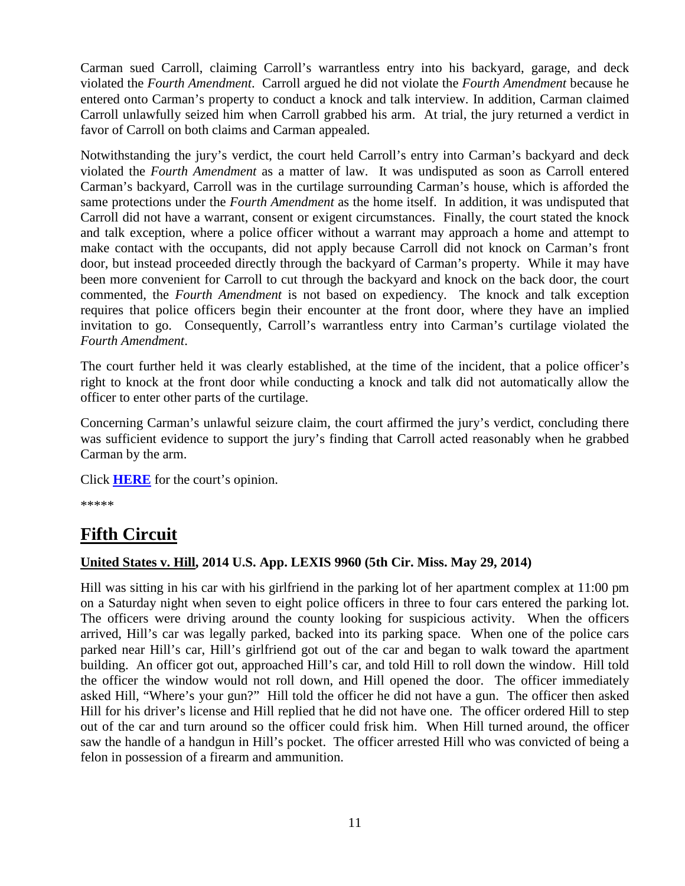Carman sued Carroll, claiming Carroll's warrantless entry into his backyard, garage, and deck violated the *Fourth Amendment*. Carroll argued he did not violate the *Fourth Amendment* because he entered onto Carman's property to conduct a knock and talk interview. In addition, Carman claimed Carroll unlawfully seized him when Carroll grabbed his arm. At trial, the jury returned a verdict in favor of Carroll on both claims and Carman appealed.

Notwithstanding the jury's verdict, the court held Carroll's entry into Carman's backyard and deck violated the *Fourth Amendment* as a matter of law. It was undisputed as soon as Carroll entered Carman's backyard, Carroll was in the curtilage surrounding Carman's house, which is afforded the same protections under the *Fourth Amendment* as the home itself. In addition, it was undisputed that Carroll did not have a warrant, consent or exigent circumstances. Finally, the court stated the knock and talk exception, where a police officer without a warrant may approach a home and attempt to make contact with the occupants, did not apply because Carroll did not knock on Carman's front door, but instead proceeded directly through the backyard of Carman's property. While it may have been more convenient for Carroll to cut through the backyard and knock on the back door, the court commented, the *Fourth Amendment* is not based on expediency. The knock and talk exception requires that police officers begin their encounter at the front door, where they have an implied invitation to go. Consequently, Carroll's warrantless entry into Carman's curtilage violated the *Fourth Amendment*.

The court further held it was clearly established, at the time of the incident, that a police officer's right to knock at the front door while conducting a knock and talk did not automatically allow the officer to enter other parts of the curtilage.

Concerning Carman's unlawful seizure claim, the court affirmed the jury's verdict, concluding there was sufficient evidence to support the jury's finding that Carroll acted reasonably when he grabbed Carman by the arm.

Click **[HERE](http://docs.justia.com/cases/federal/appellate-courts/ca3/13-2371/13-2371-2014-05-15.pdf)** for the court's opinion.

\*\*\*\*\*

### <span id="page-10-0"></span>**Fifth Circuit**

#### **United States v. Hill, 2014 U.S. App. LEXIS 9960 (5th Cir. Miss. May 29, 2014)**

Hill was sitting in his car with his girlfriend in the parking lot of her apartment complex at 11:00 pm on a Saturday night when seven to eight police officers in three to four cars entered the parking lot. The officers were driving around the county looking for suspicious activity. When the officers arrived, Hill's car was legally parked, backed into its parking space. When one of the police cars parked near Hill's car, Hill's girlfriend got out of the car and began to walk toward the apartment building. An officer got out, approached Hill's car, and told Hill to roll down the window. Hill told the officer the window would not roll down, and Hill opened the door. The officer immediately asked Hill, "Where's your gun?" Hill told the officer he did not have a gun. The officer then asked Hill for his driver's license and Hill replied that he did not have one. The officer ordered Hill to step out of the car and turn around so the officer could frisk him. When Hill turned around, the officer saw the handle of a handgun in Hill's pocket. The officer arrested Hill who was convicted of being a felon in possession of a firearm and ammunition.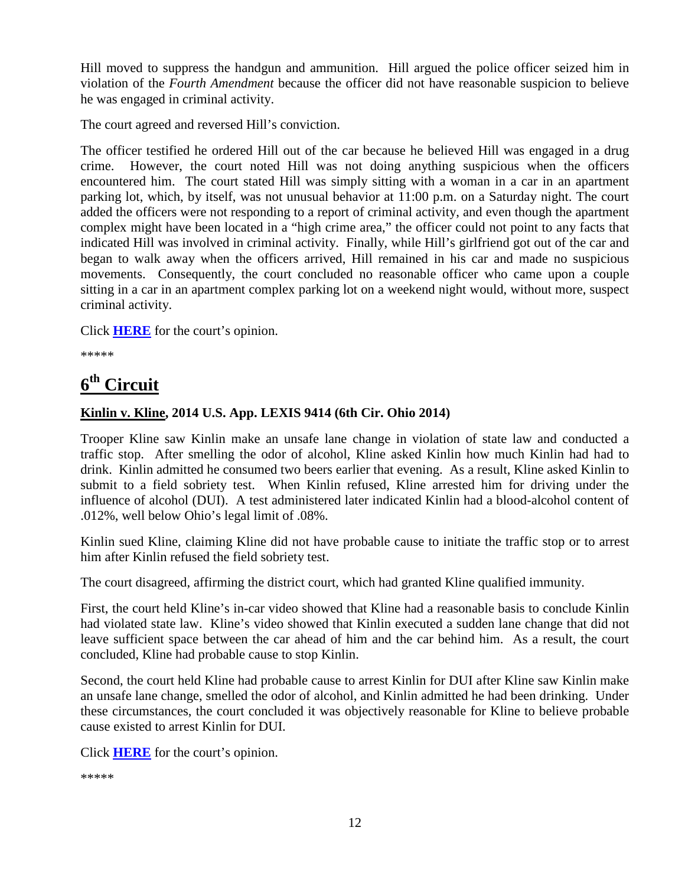Hill moved to suppress the handgun and ammunition. Hill argued the police officer seized him in violation of the *Fourth Amendment* because the officer did not have reasonable suspicion to believe he was engaged in criminal activity.

The court agreed and reversed Hill's conviction.

The officer testified he ordered Hill out of the car because he believed Hill was engaged in a drug crime. However, the court noted Hill was not doing anything suspicious when the officers encountered him. The court stated Hill was simply sitting with a woman in a car in an apartment parking lot, which, by itself, was not unusual behavior at 11:00 p.m. on a Saturday night. The court added the officers were not responding to a report of criminal activity, and even though the apartment complex might have been located in a "high crime area," the officer could not point to any facts that indicated Hill was involved in criminal activity. Finally, while Hill's girlfriend got out of the car and began to walk away when the officers arrived, Hill remained in his car and made no suspicious movements. Consequently, the court concluded no reasonable officer who came upon a couple sitting in a car in an apartment complex parking lot on a weekend night would, without more, suspect criminal activity.

Click **[HERE](http://docs.justia.com/cases/federal/appellate-courts/ca5/13-60095/13-60095-2014-05-29.pdf)** for the court's opinion.

\*\*\*\*\*

### <span id="page-11-0"></span>**6th Circuit**

### **Kinlin v. Kline, 2014 U.S. App. LEXIS 9414 (6th Cir. Ohio 2014)**

Trooper Kline saw Kinlin make an unsafe lane change in violation of state law and conducted a traffic stop. After smelling the odor of alcohol, Kline asked Kinlin how much Kinlin had had to drink. Kinlin admitted he consumed two beers earlier that evening. As a result, Kline asked Kinlin to submit to a field sobriety test. When Kinlin refused, Kline arrested him for driving under the influence of alcohol (DUI). A test administered later indicated Kinlin had a blood-alcohol content of .012%, well below Ohio's legal limit of .08%.

Kinlin sued Kline, claiming Kline did not have probable cause to initiate the traffic stop or to arrest him after Kinlin refused the field sobriety test.

The court disagreed, affirming the district court, which had granted Kline qualified immunity.

First, the court held Kline's in-car video showed that Kline had a reasonable basis to conclude Kinlin had violated state law. Kline's video showed that Kinlin executed a sudden lane change that did not leave sufficient space between the car ahead of him and the car behind him. As a result, the court concluded, Kline had probable cause to stop Kinlin.

Second, the court held Kline had probable cause to arrest Kinlin for DUI after Kline saw Kinlin make an unsafe lane change, smelled the odor of alcohol, and Kinlin admitted he had been drinking. Under these circumstances, the court concluded it was objectively reasonable for Kline to believe probable cause existed to arrest Kinlin for DUI.

Click **[HERE](http://docs.justia.com/cases/federal/appellate-courts/ca6/13-3874/13-3874-2014-05-21.pdf)** for the court's opinion.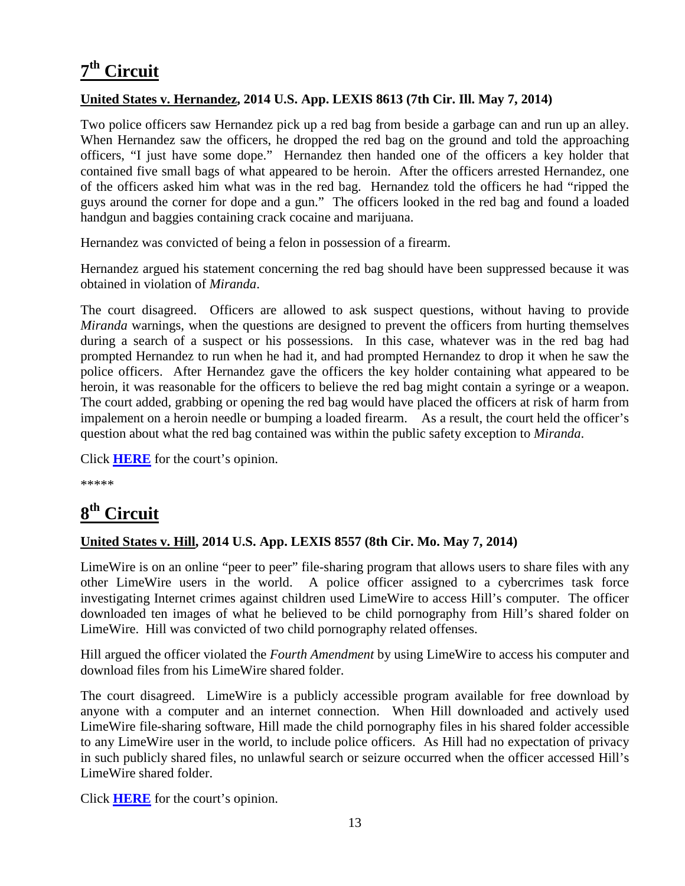## <span id="page-12-0"></span>**7th Circuit**

### **United States v. Hernandez, 2014 U.S. App. LEXIS 8613 (7th Cir. Ill. May 7, 2014)**

Two police officers saw Hernandez pick up a red bag from beside a garbage can and run up an alley. When Hernandez saw the officers, he dropped the red bag on the ground and told the approaching officers, "I just have some dope." Hernandez then handed one of the officers a key holder that contained five small bags of what appeared to be heroin. After the officers arrested Hernandez, one of the officers asked him what was in the red bag. Hernandez told the officers he had "ripped the guys around the corner for dope and a gun." The officers looked in the red bag and found a loaded handgun and baggies containing crack cocaine and marijuana.

Hernandez was convicted of being a felon in possession of a firearm.

Hernandez argued his statement concerning the red bag should have been suppressed because it was obtained in violation of *Miranda*.

The court disagreed. Officers are allowed to ask suspect questions, without having to provide *Miranda* warnings, when the questions are designed to prevent the officers from hurting themselves during a search of a suspect or his possessions. In this case, whatever was in the red bag had prompted Hernandez to run when he had it, and had prompted Hernandez to drop it when he saw the police officers. After Hernandez gave the officers the key holder containing what appeared to be heroin, it was reasonable for the officers to believe the red bag might contain a syringe or a weapon. The court added, grabbing or opening the red bag would have placed the officers at risk of harm from impalement on a heroin needle or bumping a loaded firearm. As a result, the court held the officer's question about what the red bag contained was within the public safety exception to *Miranda*.

Click **[HERE](http://docs.justia.com/cases/federal/appellate-courts/ca7/13-2879/13-2879-2014-05-07.pdf)** for the court's opinion.

\*\*\*\*\*

### <span id="page-12-1"></span>**8th Circuit**

### **United States v. Hill, 2014 U.S. App. LEXIS 8557 (8th Cir. Mo. May 7, 2014)**

LimeWire is on an online "peer to peer" file-sharing program that allows users to share files with any other LimeWire users in the world. A police officer assigned to a cybercrimes task force investigating Internet crimes against children used LimeWire to access Hill's computer. The officer downloaded ten images of what he believed to be child pornography from Hill's shared folder on LimeWire. Hill was convicted of two child pornography related offenses.

Hill argued the officer violated the *Fourth Amendment* by using LimeWire to access his computer and download files from his LimeWire shared folder.

The court disagreed. LimeWire is a publicly accessible program available for free download by anyone with a computer and an internet connection. When Hill downloaded and actively used LimeWire file-sharing software, Hill made the child pornography files in his shared folder accessible to any LimeWire user in the world, to include police officers. As Hill had no expectation of privacy in such publicly shared files, no unlawful search or seizure occurred when the officer accessed Hill's LimeWire shared folder.

Click **[HERE](http://docs.justia.com/cases/federal/appellate-courts/ca8/13-1884/13-1884-2014-05-07.pdf)** for the court's opinion.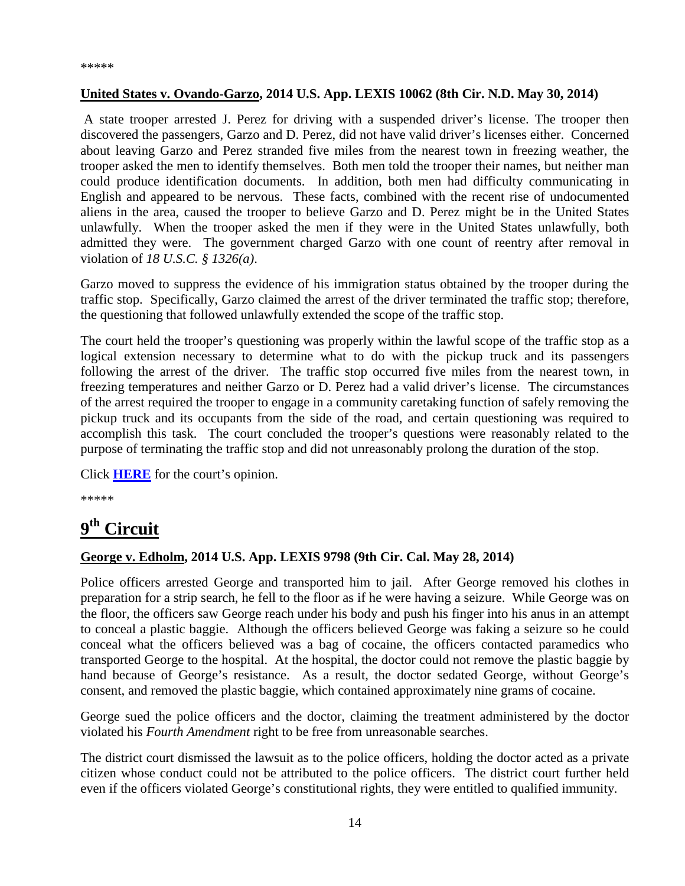#### **United States v. Ovando-Garzo, 2014 U.S. App. LEXIS 10062 (8th Cir. N.D. May 30, 2014)**

A state trooper arrested J. Perez for driving with a suspended driver's license. The trooper then discovered the passengers, Garzo and D. Perez, did not have valid driver's licenses either. Concerned about leaving Garzo and Perez stranded five miles from the nearest town in freezing weather, the trooper asked the men to identify themselves. Both men told the trooper their names, but neither man could produce identification documents. In addition, both men had difficulty communicating in English and appeared to be nervous. These facts, combined with the recent rise of undocumented aliens in the area, caused the trooper to believe Garzo and D. Perez might be in the United States unlawfully. When the trooper asked the men if they were in the United States unlawfully, both admitted they were. The government charged Garzo with one count of reentry after removal in violation of *18 U.S.C. § 1326(a)*.

Garzo moved to suppress the evidence of his immigration status obtained by the trooper during the traffic stop. Specifically, Garzo claimed the arrest of the driver terminated the traffic stop; therefore, the questioning that followed unlawfully extended the scope of the traffic stop.

The court held the trooper's questioning was properly within the lawful scope of the traffic stop as a logical extension necessary to determine what to do with the pickup truck and its passengers following the arrest of the driver. The traffic stop occurred five miles from the nearest town, in freezing temperatures and neither Garzo or D. Perez had a valid driver's license. The circumstances of the arrest required the trooper to engage in a community caretaking function of safely removing the pickup truck and its occupants from the side of the road, and certain questioning was required to accomplish this task. The court concluded the trooper's questions were reasonably related to the purpose of terminating the traffic stop and did not unreasonably prolong the duration of the stop.

Click **[HERE](http://docs.justia.com/cases/federal/appellate-courts/ca8/13-3437/13-3437-2014-05-30.pdf)** for the court's opinion.

\*\*\*\*\*

### <span id="page-13-0"></span>**9th Circuit**

### **George v. Edholm, 2014 U.S. App. LEXIS 9798 (9th Cir. Cal. May 28, 2014)**

Police officers arrested George and transported him to jail. After George removed his clothes in preparation for a strip search, he fell to the floor as if he were having a seizure. While George was on the floor, the officers saw George reach under his body and push his finger into his anus in an attempt to conceal a plastic baggie. Although the officers believed George was faking a seizure so he could conceal what the officers believed was a bag of cocaine, the officers contacted paramedics who transported George to the hospital. At the hospital, the doctor could not remove the plastic baggie by hand because of George's resistance. As a result, the doctor sedated George, without George's consent, and removed the plastic baggie, which contained approximately nine grams of cocaine.

George sued the police officers and the doctor, claiming the treatment administered by the doctor violated his *Fourth Amendment* right to be free from unreasonable searches.

The district court dismissed the lawsuit as to the police officers, holding the doctor acted as a private citizen whose conduct could not be attributed to the police officers. The district court further held even if the officers violated George's constitutional rights, they were entitled to qualified immunity.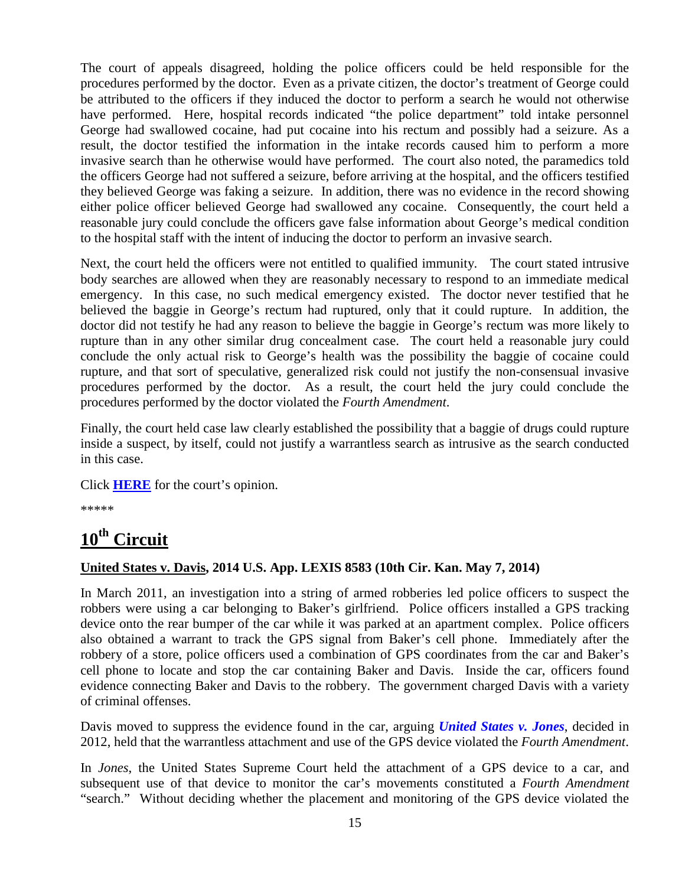The court of appeals disagreed, holding the police officers could be held responsible for the procedures performed by the doctor. Even as a private citizen, the doctor's treatment of George could be attributed to the officers if they induced the doctor to perform a search he would not otherwise have performed. Here, hospital records indicated "the police department" told intake personnel George had swallowed cocaine, had put cocaine into his rectum and possibly had a seizure. As a result, the doctor testified the information in the intake records caused him to perform a more invasive search than he otherwise would have performed. The court also noted, the paramedics told the officers George had not suffered a seizure, before arriving at the hospital, and the officers testified they believed George was faking a seizure. In addition, there was no evidence in the record showing either police officer believed George had swallowed any cocaine. Consequently, the court held a reasonable jury could conclude the officers gave false information about George's medical condition to the hospital staff with the intent of inducing the doctor to perform an invasive search.

Next, the court held the officers were not entitled to qualified immunity. The court stated intrusive body searches are allowed when they are reasonably necessary to respond to an immediate medical emergency. In this case, no such medical emergency existed. The doctor never testified that he believed the baggie in George's rectum had ruptured, only that it could rupture. In addition, the doctor did not testify he had any reason to believe the baggie in George's rectum was more likely to rupture than in any other similar drug concealment case. The court held a reasonable jury could conclude the only actual risk to George's health was the possibility the baggie of cocaine could rupture, and that sort of speculative, generalized risk could not justify the non-consensual invasive procedures performed by the doctor. As a result, the court held the jury could conclude the procedures performed by the doctor violated the *Fourth Amendment*.

Finally, the court held case law clearly established the possibility that a baggie of drugs could rupture inside a suspect, by itself, could not justify a warrantless search as intrusive as the search conducted in this case.

Click **[HERE](http://docs.justia.com/cases/federal/appellate-courts/ca9/11-57075/11-57075-2014-05-28.pdf)** for the court's opinion.

\*\*\*\*\*

### <span id="page-14-0"></span>**10th Circuit**

#### **United States v. Davis, 2014 U.S. App. LEXIS 8583 (10th Cir. Kan. May 7, 2014)**

In March 2011, an investigation into a string of armed robberies led police officers to suspect the robbers were using a car belonging to Baker's girlfriend. Police officers installed a GPS tracking device onto the rear bumper of the car while it was parked at an apartment complex. Police officers also obtained a warrant to track the GPS signal from Baker's cell phone. Immediately after the robbery of a store, police officers used a combination of GPS coordinates from the car and Baker's cell phone to locate and stop the car containing Baker and Davis. Inside the car, officers found evidence connecting Baker and Davis to the robbery. The government charged Davis with a variety of criminal offenses.

Davis moved to suppress the evidence found in the car, arguing *[United States v. Jones](http://www.supremecourt.gov/opinions/11pdf/10-1259.pdf)*, decided in 2012, held that the warrantless attachment and use of the GPS device violated the *Fourth Amendment*.

In *Jones*, the United States Supreme Court held the attachment of a GPS device to a car, and subsequent use of that device to monitor the car's movements constituted a *Fourth Amendment*  "search." Without deciding whether the placement and monitoring of the GPS device violated the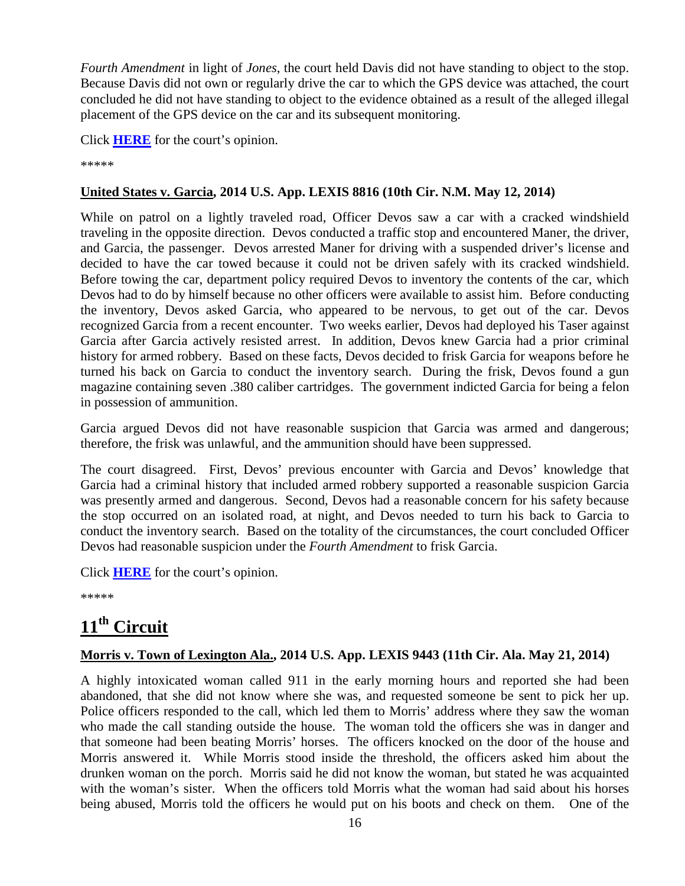*Fourth Amendment* in light of *Jones*, the court held Davis did not have standing to object to the stop. Because Davis did not own or regularly drive the car to which the GPS device was attached, the court concluded he did not have standing to object to the evidence obtained as a result of the alleged illegal placement of the GPS device on the car and its subsequent monitoring.

Click **[HERE](http://docs.justia.com/cases/federal/appellate-courts/ca10/13-3037/13-3037-2014-05-07.pdf)** for the court's opinion.

\*\*\*\*\*

### **United States v. Garcia, 2014 U.S. App. LEXIS 8816 (10th Cir. N.M. May 12, 2014)**

While on patrol on a lightly traveled road, Officer Devos saw a car with a cracked windshield traveling in the opposite direction. Devos conducted a traffic stop and encountered Maner, the driver, and Garcia, the passenger. Devos arrested Maner for driving with a suspended driver's license and decided to have the car towed because it could not be driven safely with its cracked windshield. Before towing the car, department policy required Devos to inventory the contents of the car, which Devos had to do by himself because no other officers were available to assist him. Before conducting the inventory, Devos asked Garcia, who appeared to be nervous, to get out of the car. Devos recognized Garcia from a recent encounter. Two weeks earlier, Devos had deployed his Taser against Garcia after Garcia actively resisted arrest. In addition, Devos knew Garcia had a prior criminal history for armed robbery. Based on these facts, Devos decided to frisk Garcia for weapons before he turned his back on Garcia to conduct the inventory search. During the frisk, Devos found a gun magazine containing seven .380 caliber cartridges. The government indicted Garcia for being a felon in possession of ammunition.

Garcia argued Devos did not have reasonable suspicion that Garcia was armed and dangerous; therefore, the frisk was unlawful, and the ammunition should have been suppressed.

The court disagreed. First, Devos' previous encounter with Garcia and Devos' knowledge that Garcia had a criminal history that included armed robbery supported a reasonable suspicion Garcia was presently armed and dangerous. Second, Devos had a reasonable concern for his safety because the stop occurred on an isolated road, at night, and Devos needed to turn his back to Garcia to conduct the inventory search. Based on the totality of the circumstances, the court concluded Officer Devos had reasonable suspicion under the *Fourth Amendment* to frisk Garcia.

Click **[HERE](http://docs.justia.com/cases/federal/appellate-courts/ca10/13-2155/13-2155-2014-05-12.pdf)** for the court's opinion.

\*\*\*\*\*

## <span id="page-15-0"></span>**11th Circuit**

### **Morris v. Town of Lexington Ala., 2014 U.S. App. LEXIS 9443 (11th Cir. Ala. May 21, 2014)**

A highly intoxicated woman called 911 in the early morning hours and reported she had been abandoned, that she did not know where she was, and requested someone be sent to pick her up. Police officers responded to the call, which led them to Morris' address where they saw the woman who made the call standing outside the house. The woman told the officers she was in danger and that someone had been beating Morris' horses. The officers knocked on the door of the house and Morris answered it. While Morris stood inside the threshold, the officers asked him about the drunken woman on the porch. Morris said he did not know the woman, but stated he was acquainted with the woman's sister. When the officers told Morris what the woman had said about his horses being abused, Morris told the officers he would put on his boots and check on them. One of the